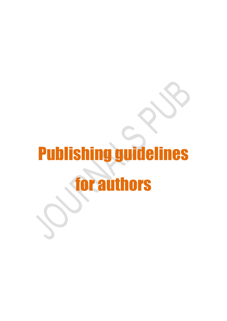# Publishing guidelines for authors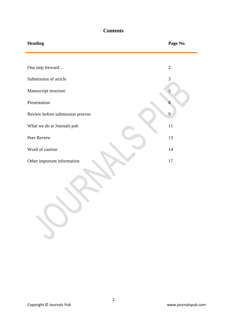# **Contents**

| <b>Heading</b>                   | Page No.       |
|----------------------------------|----------------|
|                                  |                |
| One step forward                 | $\overline{2}$ |
| Submission of article            | $\mathfrak{Z}$ |
| Manuscript structure             | 5              |
| Presentation                     |                |
| Review before submission process | 9              |
| What we do at Journals pub       | 11             |
| Peer Review                      | 13             |
| Word of caution                  | 14             |
| Other important information      | 17             |
|                                  |                |

 $\rightarrow$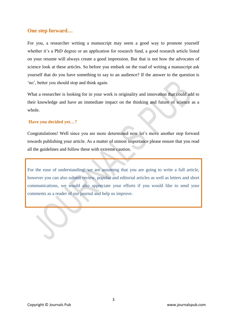# **One step forward…**

For you, a researcher writing a manuscript may seem a good way to promote yourself whether it's a PhD degree or an application for research fund, a good research article listed on your resume will always create a good impression. But that is not how the advocates of science look at these articles. So before you embark on the road of writing a manuscript ask yourself that do you have something to say to an audience? If the answer to the question is 'no', better you should stop and think again.

What a researcher is looking for in your work is originality and innovation that could add to their knowledge and have an immediate impact on the thinking and future of science as a whole.

# **Have you decided yet…?**

Congratulations! Well since you are more determined now let's move another step forward towards publishing your article. As a matter of utmost importance please ensure that you read all the guidelines and follow these with extreme caution.

For the ease of understanding; we are assuming that you are going to write a full article, however you can also submit review, popular and editorial articles as well as letters and short communications, we would also appreciate your efforts if you would like to send your comments as a reader of our journal and help us improve.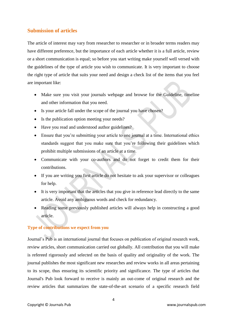# **Submission of articles**

The article of interest may vary from researcher to researcher or in broader terms readers may have different preference, but the importance of each article whether it is a full article, review or a short communication is equal; so before you start writing make yourself well versed with the guidelines of the type of article you wish to communicate. It is very important to choose the right type of article that suits your need and design a check list of the items that you feel are important like:

- Make sure you visit your journals webpage and browse for the Guideline, timeline and other information that you need.
- Is your article fall under the scope of the journal you have chosen?
- Is the publication option meeting your needs?
- Have you read and understood author guidelines?
- Ensure that you're submitting your article to one journal at a time. International ethics standards suggest that you make sure that you're following their guidelines which prohibit multiple submissions of an article at a time.
- Communicate with your co-authors and do not forget to credit them for their contributions.
- If you are writing you first article do not hesitate to ask your supervisor or colleagues for help.
- It is very important that the articles that you give in reference lead directly to the same article. Avoid any ambiguous words and check for redundancy.
- Reading some previously published articles will always help in constructing a good article.

# **Type of contributions we expect from you**

Journal's Pub is an international journal that focuses on publication of original research work, review articles, short communication carried out globally. All contribution that you will make is refereed rigorously and selected on the basis of quality and originality of the work. The journal publishes the most significant new researches and review works in all areas pertaining to its scope, thus ensuring its scientific priority and significance. The type of articles that Journal's Pub look forward to receive is mainly an out-come of original research and the review articles that summarizes the state-of-the-art scenario of a specific research field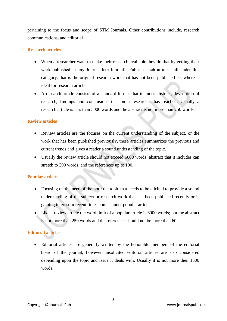pertaining to the focus and scope of STM Journals. Other contributions include, research communications, and editorial

# **Research articles**

- When a researcher want to make their research available they do that by getting their work published in any Journal like Journal's Pub etc. such articles fall under this category, that is the original research work that has not been published elsewhere is ideal for research article.
- A research article consists of a standard format that includes abstract, description of research, findings and conclusions that on a researcher has reached. Usually a research article is less than 5000 words and the abstract is not more than 250 words.

## **Review articles**

- Review articles are the focuses on the current understanding of the subject, or the work that has been published previously, these articles summarizes the previous and current trends and gives a reader a sound understanding of the topic.
- Usually the review article should not exceed 6000 words; abstract that it includes can stretch to 300 words, and the references up to 100.

# **Popular articles**

- Focusing on the need of the hour the topic that needs to be elicited to provide a sound understanding of the subject or research work that has been published recently or is gaining interest in recent times comes under popular articles.
- Like a review article the word limit of a popular article is 6000 words; but the abstract is not more than 250 words and the references should not be more than 60.

# **Editorial articles**

 Editorial articles are generally written by the honorable members of the editorial board of the journal; however unsolicited editorial articles are also considered depending upon the topic and issue it deals with. Usually it is not more then 1500 words.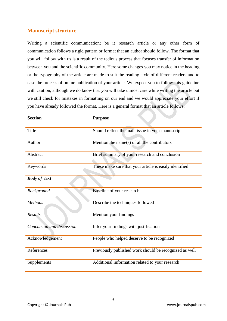# **Manuscript structure**

Writing a scientific communication; be it research article or any other form of communication follows a rigid pattern or format that an author should follow. The format that you will follow with us is a result of the tedious process that focuses transfer of information between you and the scientific community. Here some changes you may notice in the heading or the typography of the article are made to suit the reading style of different readers and to ease the process of online publication of your article. We expect you to follow this guideline with caution, although we do know that you will take utmost care while writing the article but we still check for mistakes in formatting on our end and we would appreciate your effort if you have already followed the format. Here is a general format that an article follows:

| <b>Section</b>            | <b>Purpose</b>                                         |
|---------------------------|--------------------------------------------------------|
| Title                     | Should reflect the main issue in your manuscript       |
| Author                    | Mention the name(s) of all the contributors            |
| Abstract                  | Brief summary of your research and conclusion          |
| Keywords                  | These make sure that your article is easily identified |
| <b>Body of text</b>       |                                                        |
| <b>Background</b>         | Baseline of your research                              |
| Methods                   | Describe the techniques followed                       |
| Results                   | Mention your findings                                  |
| Conclusion and discussion | Infer your findings with justification                 |
| Acknowledgement           | People who helped deserve to be recognized             |
| References                | Previously published work should be recognized as well |
| Supplements               | Additional information related to your research        |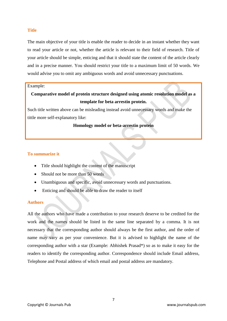## **Title**

The main objective of your title is enable the reader to decide in an instant whether they want to read your article or not, whether the article is relevant to their field of research. Title of your article should be simple, enticing and that it should state the content of the article clearly and in a precise manner. You should restrict your title to a maximum limit of 50 words. We would advise you to omit any ambiguous words and avoid unnecessary punctuations.

#### Example:

# **Comparative model of protein structure designed using atomic resolution model as a template for beta arrestin protein.**

Such title written above can be misleading instead avoid unnecessary words and make the tittle more self-explanatory like:

### **Homology model or beta-arrestin protein**

## **To summarize it**

- Title should highlight the content of the manuscript
- Should not be more than 50 words
- Unambiguous and specific, avoid unnecessary words and punctuations.
- Enticing and should be able to draw the reader to itself

## **Authors**

All the authors who have made a contribution to your research deserve to be credited for the work and the names should be listed in the same line separated by a comma. It is not necessary that the corresponding author should always be the first author, and the order of name may vary as per your convenience. But it is advised to highlight the name of the corresponding author with a star (Example: Abhishek Prasad\*) so as to make it easy for the readers to identify the corresponding author. Correspondence should include Email address, Telephone and Postal address of which email and postal address are mandatory.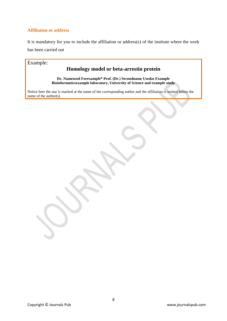# **Affiliation or address**

It is mandatory for you to include the affiliation or address(s) of the institute where the work has been carried out

# Example:

# **Homology model or beta-arrestin protein**

**Dr. Nameused Forexample\* Prof. (Dr.) Secondname Usedas Example Bioinformaticsexample laboratory, University of Science and example study**

Notice here the star is marked at the name of the corresponding author and the affiliation is written below the name of the author(s)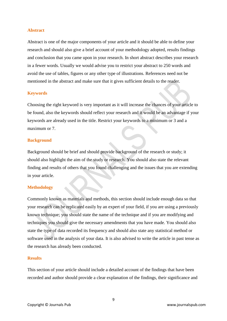#### **Abstract**

Abstract is one of the major components of your article and it should be able to define your research and should also give a brief account of your methodology adopted, results findings and conclusion that you came upon in your research. In short abstract describes your research in a fewer words. Usually we would advise you to restrict your abstract to 250 words and avoid the use of tables, figures or any other type of illustrations. References need not be mentioned in the abstract and make sure that it gives sufficient details to the reader.

#### **Keywords**

Choosing the right keyword is very important as it will increase the chances of your article to be found, also the keywords should reflect your research and it would be an advantage if your keywords are already used in the title. Restrict your keywords to a minimum or 3 and a maximum or 7

#### **Background**

Background should be brief and should provide background of the research or study; it should also highlight the aim of the study or research. You should also state the relevant finding and results of others that you found challenging and the issues that you are extending in your article.

#### **Methodology**

Commonly known as materials and methods, this section should include enough data so that your research can be replicated easily by an expert of your field, if you are using a previously known technique; you should state the name of the technique and if you are modifying and techniques you should give the necessary amendments that you have made. You should also state the type of data recorded its frequency and should also state any statistical method or software used in the analysis of your data. It is also advised to write the article in past tense as the research has already been conducted.

#### **Results**

This section of your article should include a detailed account of the findings that have been recorded and author should provide a clear explanation of the findings, their significance and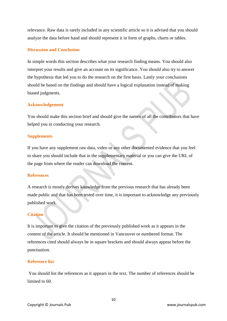relevance. Raw data is rarely included in any scientific article so it is advised that you should analyze the data before hand and should represent it in form of graphs, charts or tables.

#### **Discussion and Conclusion**

In simple words this section describes what your research finding means. You should also interpret your results and give an account on its significance. You should also try to answer the hypothesis that led you to do the research on the first basis. Lastly your conclusions should be based on the findings and should have a logical explanation instead of making biased judgments.

### **Acknowledgement**

You should make this section brief and should give the names of all the contributors that have helped you in conducting your research.

#### **Supplements**

If you have any supplement raw data, video or any other documented evidence that you feel to share you should include that in the supplementary material or you can give the URL of the page from where the reader can download the content.

#### **References**

A research is mostly derives knowledge from the previous research that has already been made public and that has been tested over time, it is important to acknowledge any previously published work.

### **Citation**

It is important to give the citation of the previously published work as it appears in the content of the article. It should be mentioned in Vancouver or numbered format. The references cited should always be in square brackets and should always appear before the punctuation.

#### **Reference list**

You should list the references as it appears in the text. The number of references should be limited to 60.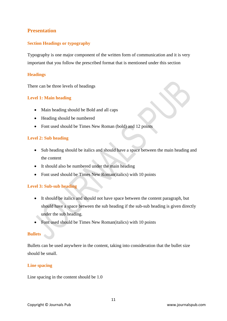# **Presentation**

# **Section Headings or typography**

Typography is one major component of the written form of communication and it is very important that you follow the prescribed format that is mentioned under this section

# **Headings**

There can be three levels of headings

# **Level 1: Main heading**

- Main heading should be Bold and all caps
- Heading should be numbered
- Font used should be Times New Roman (bold) and 12 points

# **Level 2: Sub heading**

- Sub heading should be italics and should have a space between the main heading and the content
- It should also be numbered under the main heading
- Font used should be Times New Roman(italics) with 10 points

# **Level 3: Sub-sub heading**

- It should be italics and should not have space between the content paragraph, but should have a space between the sub heading if the sub-sub heading is given directly under the sub heading.
- Font used should be Times New Roman(italics) with 10 points

# **Bullets**

Bullets can be used anywhere in the content, taking into consideration that the bullet size should be small.

# **Line spacing**

Line spacing in the content should be 1.0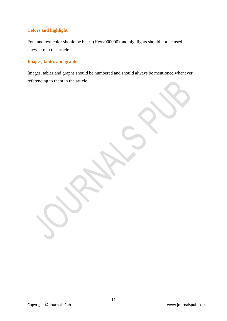# **Colors and highlight**

Font and text color should be black (Hex#000000) and highlights should not be used anywhere in the article.

# **Images, tables and graphs**

Images, tables and graphs should be numbered and should always be mentioned whenever referencing to them in the article.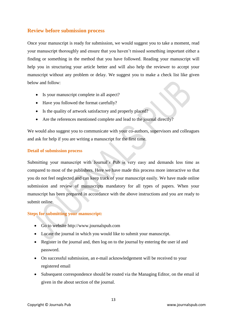# **Review before submission process**

Once your manuscript is ready for submission, we would suggest you to take a moment, read your manuscript thoroughly and ensure that you haven't missed something important either a finding or something in the method that you have followed. Reading your manuscript will help you in structuring your article better and will also help the reviewer to accept your manuscript without any problem or delay. We suggest you to make a check list like given below and follow:

- Is your manuscript complete in all aspect?
- Have you followed the format carefully?
- Is the quality of artwork satisfactory and properly placed?
- Are the references mentioned complete and lead to the journal directly?

We would also suggest you to communicate with your co-authors, supervisors and colleagues and ask for help if you are writing a manuscript for the first time.

# **Detail of submission process**

Submitting your manuscript with Journal's Pub is very easy and demands less time as compared to most of the publishers. Here we have made this process more interactive so that you do not feel neglected and can keep track of your manuscript easily. We have made online submission and review of manuscripts mandatory for all types of papers. When your manuscript has been prepared in accordance with the above instructions and you are ready to submit online.

# **Steps for submitting your manuscript:**

- Go to website http://www.journalspub.com
- Locate the journal in which you would like to submit your manuscript.
- Register in the journal and, then log on to the journal by entering the user id and password.
- On successful submission, an e-mail acknowledgement will be received to your registered email
- Subsequent correspondence should be routed via the Managing Editor, on the email id given in the about section of the journal.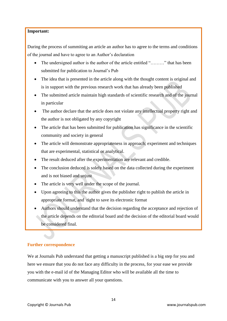# **Important:**

During the process of summiting an article an author has to agree to the terms and conditions of the journal and have to agree to an Author's declaration

- The undersigned author is the author of the article entitled "………" that has been submitted for publication to Journal's Pub
- The idea that is presented in the article along with the thought content is original and is in support with the previous research work that has already been published
- The submitted article maintain high standards of scientific research and of the journal in particular
- The author declare that the article does not violate any intellectual property right and the author is not obligated by any copyright
- The article that has been submitted for publication has significance in the scientific community and society in general
- The article will demonstrate appropriateness in approach; experiment and techniques that are experimental, statistical or analytical.
- The result deduced after the experimentation are relevant and credible.
- The conclusion deduced is solely based on the data collected during the experiment and is not biased and unjust
- The article is very well under the scope of the journal.
- Upon agreeing to this the author gives the publisher right to publish the article in appropriate format, and right to save its electronic format
- Authors should understand that the decision regarding the acceptance and rejection of the article depends on the editorial board and the decision of the editorial board would be considered final.

# **Further correspondence**

We at Journals Pub understand that getting a manuscript published is a big step for you and here we ensure that you do not face any difficulty in the process, for your ease we provide you with the e-mail id of the Managing Editor who will be available all the time to communicate with you to answer all your questions.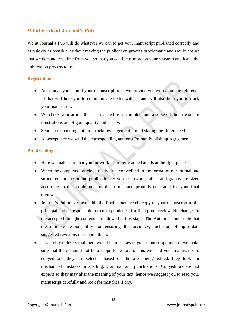# **What we do at Journal's Pub**

We at Journal's Pub will do whatever we can to get your manuscript published correctly and as quickly as possible, without making the publication process problematic and would ensure that we demand less time from you so that you can focus more on your research and leave the publication process to us.

# **Registration**

- As soon as you submit your manuscript to us we provide you with a unique reference Id that will help you to communicate better with us and will also help you to track your manuscript.
- We check your article that has reached us is complete and also see if the artwork or illustrations are of good quality and clarity.
- Send corresponding author an acknowledgement e-mail stating the Reference Id
- At acceptance we send the corresponding author a Journal Publishing Agreement

# **Proofreading**

- Here we make sure that your artwork is properly added and is at the right place.
- When the completed article is ready, it is copyedited in the format of our journal and structured for the online publication. Here the artwork, tables and graphs are sized according to the requirement of the format and proof is generated for your final review.
- Journal's Pub makes available the final camera ready copy of your manuscript to the principal author responsible for correspondence, for final proof review. No changes in the accepted thought-contents are allowed at this stage. The Authors should note that the ultimate responsibility for ensuring the accuracy, inclusion of up-to-date suggested revisions rests upon them.
- It is highly unlikely that there would be mistakes in your manuscript but still we make sure that there should not be a scope for error, for this we send your manuscript to copyeditors; they are selected based on the area being edited, they look for mechanical mistakes in spelling, grammar and punctuations. Copyeditors are not experts so they may alter the meaning of your text, hence we suggest you to read your manuscript carefully and look for mistakes if any.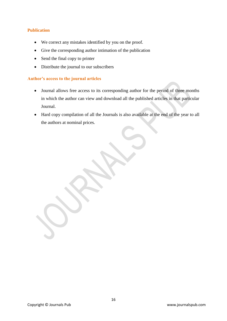# **Publication**

- We correct any mistakes identified by you on the proof.
- Give the corresponding author intimation of the publication
- Send the final copy to printer
- Distribute the journal to our subscribers

# **Author's access to the journal articles**

- Journal allows free access to its corresponding author for the period of three months in which the author can view and download all the published articles in that particular Journal.
- Hard copy compilation of all the Journals is also available at the end of the year to all the authors at nominal prices.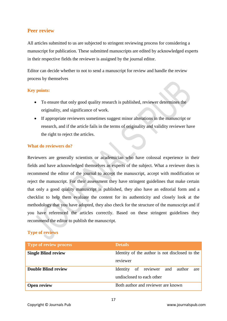# **Peer review**

All articles submitted to us are subjected to stringent reviewing process for considering a manuscript for publication. These submitted manuscripts are edited by acknowledged experts in their respective fields the reviewer is assigned by the journal editor.

Editor can decide whether to not to send a manuscript for review and handle the review process by themselves

# **Key points:**

- To ensure that only good quality research is published, reviewer determines the originality, and significance of work.
- If appropriate reviewers sometimes suggest minor alterations in the manuscript or research, and if the article fails in the terms of originality and validity reviewer have the right to reject the articles.

## **What do reviewers do?**

Reviewers are generally scientists or academician who have colossal experience in their fields and have acknowledged themselves as experts of the subject. What a reviewer does is recommend the editor of the journal to accept the manuscript, accept with modification or reject the manuscript. For their assessment they have stringent guidelines that make certain that only a good quality manuscript is published, they also have an editorial form and a checklist to help them evaluate the content for its authenticity and closely look at the methodology that you have adopted, they also check for the structure of the manuscript and if you have referenced the articles correctly. Based on these stringent guidelines they recommend the editor to publish the manuscript.

# **Type of reviews**

| <b>Type of review process</b> | <b>Details</b>                                                      |
|-------------------------------|---------------------------------------------------------------------|
| <b>Single Blind review</b>    | Identity of the author is not disclosed to the<br>reviewer          |
| <b>Double Blind review</b>    | Identity of reviewer and author<br>are<br>undisclosed to each other |
| <b>Open review</b>            | Both author and reviewer are known                                  |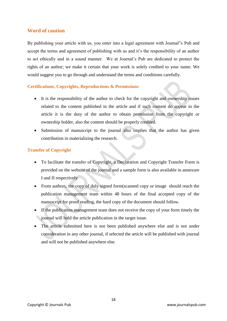# **Word of caution**

By publishing your article with us, you enter into a legal agreement with Journal"s Pub and accept the terms and agreement of publishing with us and it's the responsibility of an author to act ethically and in a sound manner. We at Journal's Pub are dedicated to protect the rights of an author; we make it certain that your work is solely credited to your name. We would suggest you to go through and understand the terms and conditions carefully.

# **Certifications, Copyrights, Reproductions & Permissions**

- It is the responsibility of the author to check for the copyright and ownership issues related to the content published in the article and if such content do appear in the article it is the duty of the author to obtain permission from the copyright or ownership holder, also the content should be properly credited.
- Submission of manuscript to the journal also implies that the author has given contribution in materializing the research.

## **Transfer of Copyright**

- To facilitate the transfer of Copyright, a Declaration and Copyright Transfer Form is provided on the website of the journal and a sample form is also available in annexure I and II respectively
- From authors, the copy of duly signed form(scanned copy or image should reach the publication management team within 48 hours of the final accepted copy of the manuscript for proof reading, the hard copy of the document should follow.
- If the publication management team does not receive the copy of your form timely the journal will hold the article publication in the target issue.
- The article submitted here is not been published anywhere else and is not under consideration in any other journal, if selected the article will be published with journal and will not be published anywhere else.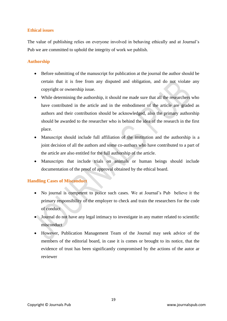## **Ethical issues**

The value of publishing relies on everyone involved in behaving ethically and at Journal's Pub we are committed to uphold the integrity of work we publish.

# **Authorship**

- Before submitting of the manuscript for publication at the journal the author should be certain that it is free from any disputed and obligation, and do not violate any copyright or ownership issue.
- While determining the authorship, it should me made sure that all the researchers who have contributed in the article and in the embodiment of the article are graded as authors and their contribution should be acknowledged, also the primary authorship should be awarded to the researcher who is behind the idea of the research in the first place.
- Manuscript should include full affiliation of the institution and the authorship is a joint decision of all the authors and some co-authors who have contributed to a part of the article are also entitled for the full authorship of the article.
- Manuscripts that include trials on animals or human beings should include documentation of the proof of approval obtained by the ethical board.

# **Handling Cases of Misconduct**

- No journal is competent to police such cases. We at Journal's Pub believe it the primary responsibility of the employer to check and train the researchers for the code of conduct
- Journal do not have any legal intimacy to investigate in any matter related to scientific misconduct
- However, Publication Management Team of the Journal may seek advice of the members of the editorial board, in case it is comes or brought to its notice, that the evidence of trust has been significantly compromised by the actions of the autor ar reviewer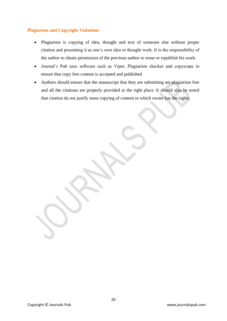# **Plagiarism and Copyright Violations**

- Plagiarism is copying of idea, thought and text of someone else without proper citation and presenting it as one's own idea or thought work. It is the responsibility of the author to obtain permission of the previous author to reuse or republish his work.
- Journal's Pub uses software such as Viper, Plagiarism checker and copyscape to ensure that copy free content is accepted and published
- Authors should ensure that the manuscript that they are submitting are plagiarism free and all the citations are properly provided at the right place. It should also be noted that citation do not justify mass copying of content to which owner has the rights.